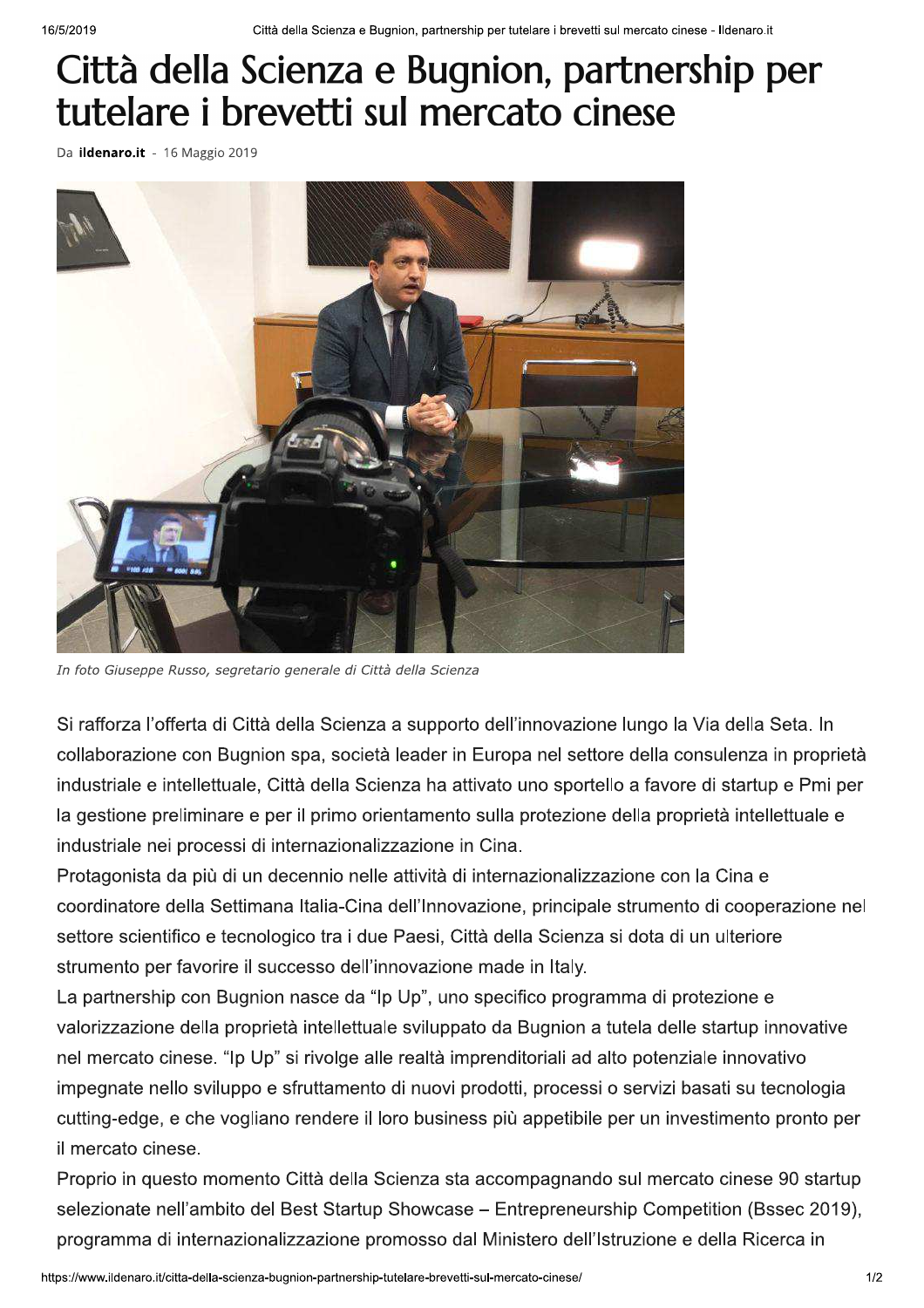## Città della Scienza e Bugnion, partnership per tutelare i brevetti sul mercato cinese

Da ildenaro.it - 16 Maggio 2019



In foto Giuseppe Russo, segretario generale di Città della Scienza

Si rafforza l'offerta di Città della Scienza a supporto dell'innovazione lungo la Via della Seta. In collaborazione con Bugnion spa, società leader in Europa nel settore della consulenza in proprietà industriale e intellettuale, Città della Scienza ha attivato uno sportello a favore di startup e Pmi per la gestione preliminare e per il primo orientamento sulla protezione della proprietà intellettuale e industriale nei processi di internazionalizzazione in Cina.

Protagonista da più di un decennio nelle attività di internazionalizzazione con la Cina e coordinatore della Settimana Italia-Cina dell'Innovazione, principale strumento di cooperazione nel settore scientifico e tecnologico tra i due Paesi, Città della Scienza si dota di un ulteriore strumento per favorire il successo dell'innovazione made in Italy.

La partnership con Bugnion nasce da "Ip Up", uno specifico programma di protezione e valorizzazione della proprietà intellettuale sviluppato da Bugnion a tutela delle startup innovative nel mercato cinese. "Ip Up" si rivolge alle realtà imprenditoriali ad alto potenziale innovativo impegnate nello sviluppo e sfruttamento di nuovi prodotti, processi o servizi basati su tecnologia cutting-edge, e che vogliano rendere il loro business più appetibile per un investimento pronto per il mercato cinese.

Proprio in questo momento Città della Scienza sta accompagnando sul mercato cinese 90 startup selezionate nell'ambito del Best Startup Showcase - Entrepreneurship Competition (Bssec 2019), programma di internazionalizzazione promosso dal Ministero dell'Istruzione e della Ricerca in